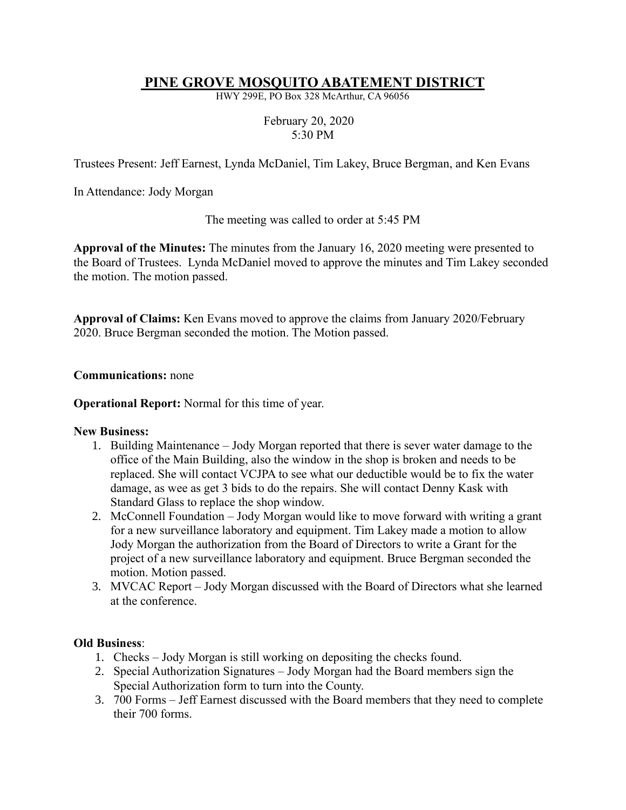## **PINE GROVE MOSQUITO ABATEMENT DISTRICT**

HWY 299E, PO Box 328 McArthur, CA 96056

## February 20, 2020 5:30 PM

Trustees Present: Jeff Earnest, Lynda McDaniel, Tim Lakey, Bruce Bergman, and Ken Evans

In Attendance: Jody Morgan

The meeting was called to order at 5:45 PM

**Approval of the Minutes:** The minutes from the January 16, 2020 meeting were presented to the Board of Trustees. Lynda McDaniel moved to approve the minutes and Tim Lakey seconded the motion. The motion passed.

**Approval of Claims:** Ken Evans moved to approve the claims from January 2020/February 2020. Bruce Bergman seconded the motion. The Motion passed.

**Communications:** none

**Operational Report:** Normal for this time of year.

#### **New Business:**

- 1. Building Maintenance Jody Morgan reported that there is sever water damage to the office of the Main Building, also the window in the shop is broken and needs to be replaced. She will contact VCJPA to see what our deductible would be to fix the water damage, as wee as get 3 bids to do the repairs. She will contact Denny Kask with Standard Glass to replace the shop window.
- 2. McConnell Foundation Jody Morgan would like to move forward with writing a grant for a new surveillance laboratory and equipment. Tim Lakey made a motion to allow Jody Morgan the authorization from the Board of Directors to write a Grant for the project of a new surveillance laboratory and equipment. Bruce Bergman seconded the motion. Motion passed.
- 3. MVCAC Report Jody Morgan discussed with the Board of Directors what she learned at the conference.

### **Old Business**:

- 1. Checks Jody Morgan is still working on depositing the checks found.
- 2. Special Authorization Signatures Jody Morgan had the Board members sign the Special Authorization form to turn into the County.
- 3. 700 Forms Jeff Earnest discussed with the Board members that they need to complete their 700 forms.